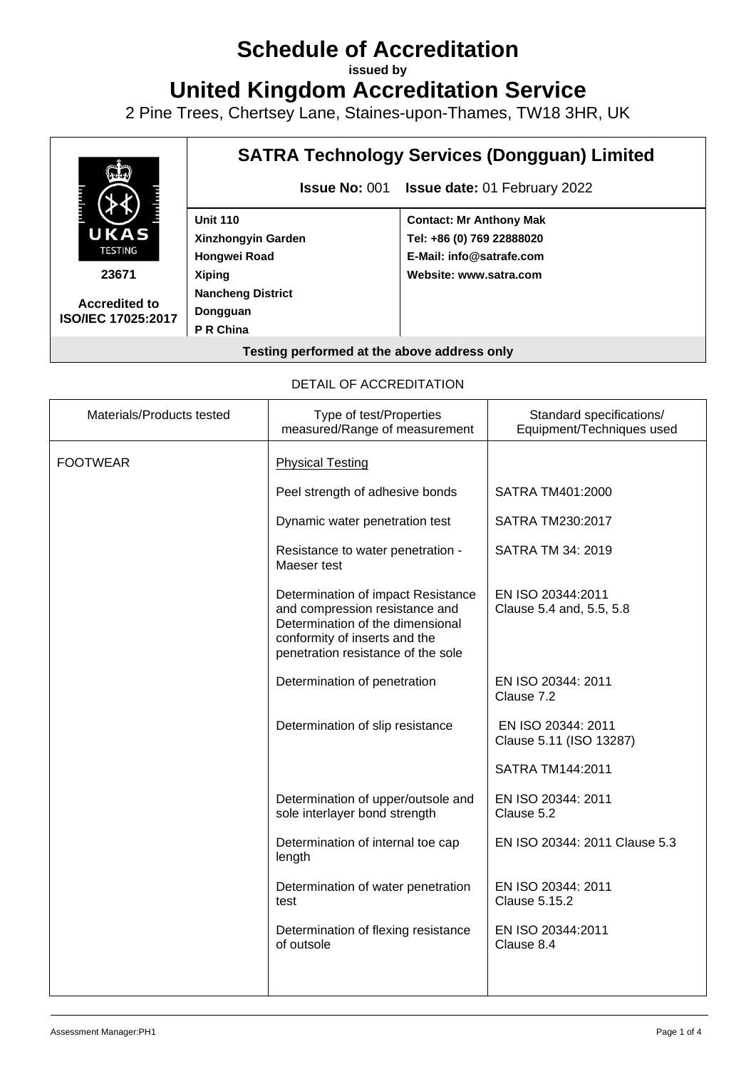# **Schedule of Accreditation**

**issued by**

**United Kingdom Accreditation Service**

2 Pine Trees, Chertsey Lane, Staines-upon-Thames, TW18 3HR, UK



#### DETAIL OF ACCREDITATION

| Materials/Products tested | Type of test/Properties<br>measured/Range of measurement                                                                                                                        | Standard specifications/<br>Equipment/Techniques used |
|---------------------------|---------------------------------------------------------------------------------------------------------------------------------------------------------------------------------|-------------------------------------------------------|
| <b>FOOTWEAR</b>           | <b>Physical Testing</b>                                                                                                                                                         |                                                       |
|                           | Peel strength of adhesive bonds                                                                                                                                                 | SATRA TM401:2000                                      |
|                           | Dynamic water penetration test                                                                                                                                                  | SATRA TM230:2017                                      |
|                           | Resistance to water penetration -<br>Maeser test                                                                                                                                | SATRA TM 34: 2019                                     |
|                           | Determination of impact Resistance<br>and compression resistance and<br>Determination of the dimensional<br>conformity of inserts and the<br>penetration resistance of the sole | EN ISO 20344:2011<br>Clause 5.4 and, 5.5, 5.8         |
|                           | Determination of penetration                                                                                                                                                    | EN ISO 20344: 2011<br>Clause 7.2                      |
|                           | Determination of slip resistance                                                                                                                                                | EN ISO 20344: 2011<br>Clause 5.11 (ISO 13287)         |
|                           |                                                                                                                                                                                 | SATRA TM144:2011                                      |
|                           | Determination of upper/outsole and<br>sole interlayer bond strength                                                                                                             | EN ISO 20344: 2011<br>Clause 5.2                      |
|                           | Determination of internal toe cap<br>length                                                                                                                                     | EN ISO 20344: 2011 Clause 5.3                         |
|                           | Determination of water penetration<br>test                                                                                                                                      | EN ISO 20344: 2011<br><b>Clause 5.15.2</b>            |
|                           | Determination of flexing resistance<br>of outsole                                                                                                                               | EN ISO 20344:2011<br>Clause 8.4                       |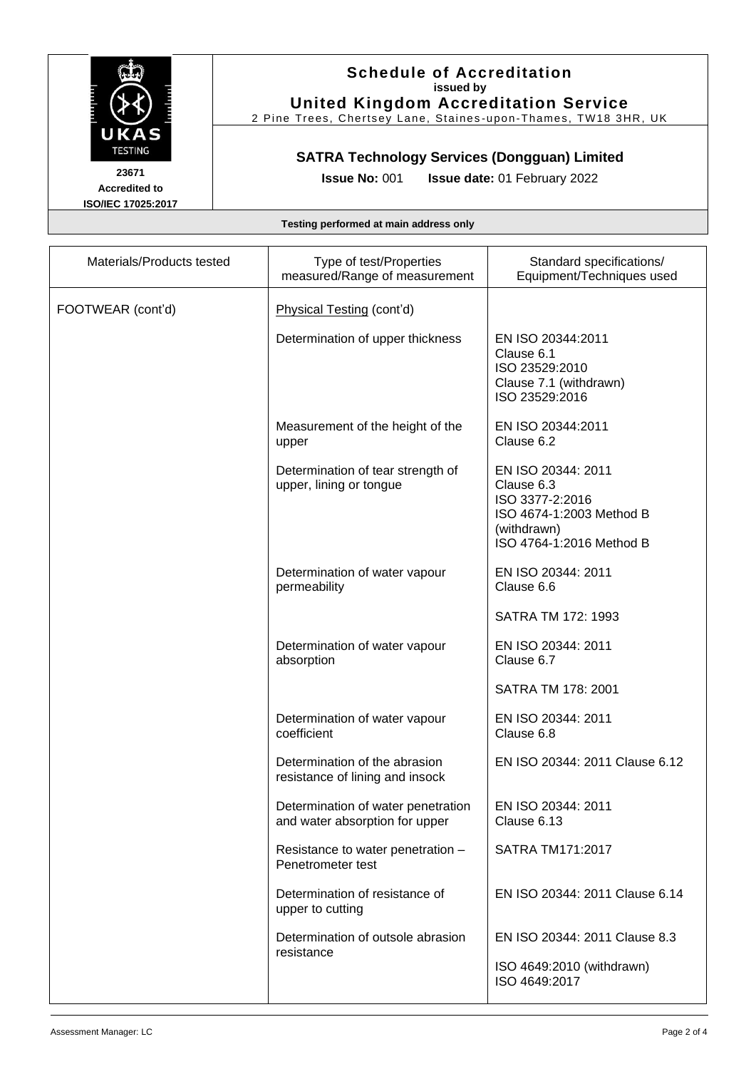

#### **Schedule of Accreditation issued by United Kingdom Accreditation Service**

2 Pine Trees, Chertsey Lane, Staines -upon -Thames, TW18 3HR, UK

## **SATRA Technology Services (Dongguan) Limited**

**23671 Accredited to ISO/IEC 17025:2017**

**Issue No:** 001 **Issue date:** 01 February 2022

#### **Testing performed at main address only**

| Materials/Products tested | Type of test/Properties<br>measured/Range of measurement             | Standard specifications/<br>Equipment/Techniques used                                                                      |
|---------------------------|----------------------------------------------------------------------|----------------------------------------------------------------------------------------------------------------------------|
| FOOTWEAR (cont'd)         | Physical Testing (cont'd)                                            |                                                                                                                            |
|                           | Determination of upper thickness                                     | EN ISO 20344:2011<br>Clause 6.1<br>ISO 23529:2010<br>Clause 7.1 (withdrawn)<br>ISO 23529:2016                              |
|                           | Measurement of the height of the<br>upper                            | EN ISO 20344:2011<br>Clause 6.2                                                                                            |
|                           | Determination of tear strength of<br>upper, lining or tongue         | EN ISO 20344: 2011<br>Clause 6.3<br>ISO 3377-2:2016<br>ISO 4674-1:2003 Method B<br>(withdrawn)<br>ISO 4764-1:2016 Method B |
|                           | Determination of water vapour<br>permeability                        | EN ISO 20344: 2011<br>Clause 6.6                                                                                           |
|                           |                                                                      | SATRA TM 172: 1993                                                                                                         |
|                           | Determination of water vapour<br>absorption                          | EN ISO 20344: 2011<br>Clause 6.7                                                                                           |
|                           |                                                                      | SATRA TM 178: 2001                                                                                                         |
|                           | Determination of water vapour<br>coefficient                         | EN ISO 20344: 2011<br>Clause 6.8                                                                                           |
|                           | Determination of the abrasion<br>resistance of lining and insock     | EN ISO 20344: 2011 Clause 6.12                                                                                             |
|                           | Determination of water penetration<br>and water absorption for upper | EN ISO 20344: 2011<br>Clause 6.13                                                                                          |
|                           | Resistance to water penetration -<br>Penetrometer test               | SATRA TM171:2017                                                                                                           |
|                           | Determination of resistance of<br>upper to cutting                   | EN ISO 20344: 2011 Clause 6.14                                                                                             |
|                           | Determination of outsole abrasion<br>resistance                      | EN ISO 20344: 2011 Clause 8.3                                                                                              |
|                           |                                                                      | ISO 4649:2010 (withdrawn)<br>ISO 4649:2017                                                                                 |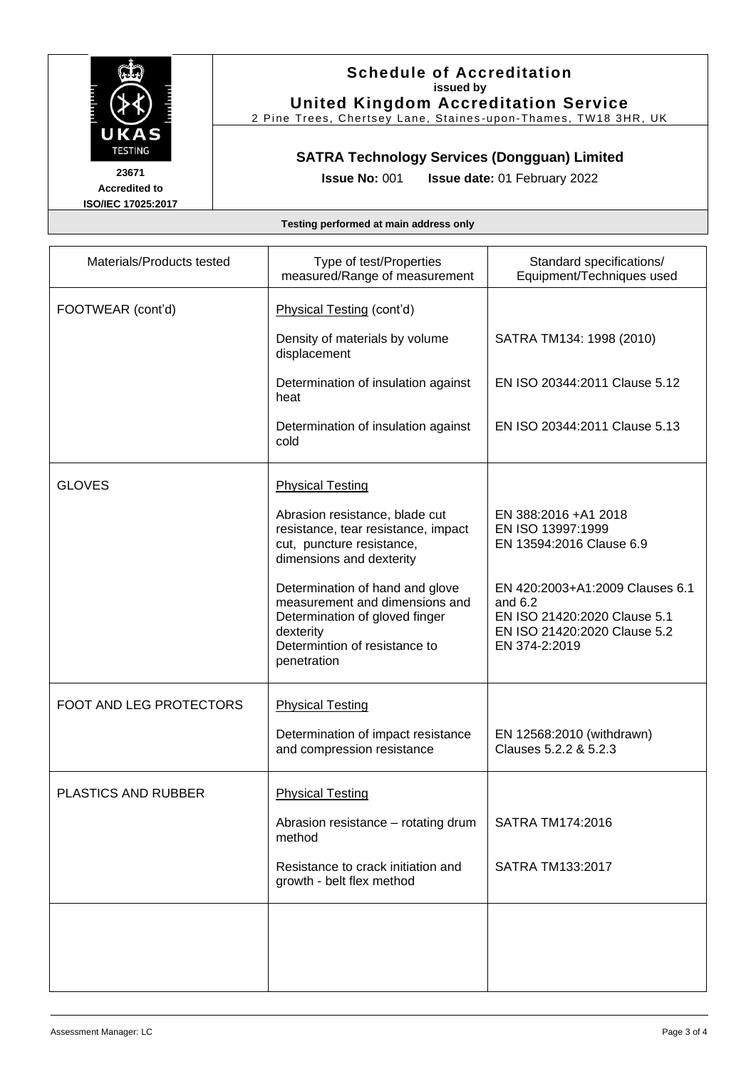

### **Schedule of Accreditation issued by United Kingdom Accreditation Service**

2 Pine Trees, Chertsey Lane, Staines -upon -Thames, TW18 3HR, UK

## **SATRA Technology Services (Dongguan) Limited**

**23671 Accredited to ISO/IEC 17025:2017**

**Issue No:** 001 **Issue date:** 01 February 2022

#### **Testing performed at main address only**

| Materials/Products tested | Type of test/Properties<br>measured/Range of measurement                                                                                                         | Standard specifications/<br>Equipment/Techniques used                                                                         |
|---------------------------|------------------------------------------------------------------------------------------------------------------------------------------------------------------|-------------------------------------------------------------------------------------------------------------------------------|
| FOOTWEAR (cont'd)         | Physical Testing (cont'd)                                                                                                                                        |                                                                                                                               |
|                           | Density of materials by volume<br>displacement                                                                                                                   | SATRA TM134: 1998 (2010)                                                                                                      |
|                           | Determination of insulation against<br>heat                                                                                                                      | EN ISO 20344:2011 Clause 5.12                                                                                                 |
|                           | Determination of insulation against<br>cold                                                                                                                      | EN ISO 20344:2011 Clause 5.13                                                                                                 |
| <b>GLOVES</b>             | <b>Physical Testing</b>                                                                                                                                          |                                                                                                                               |
|                           | Abrasion resistance, blade cut<br>resistance, tear resistance, impact<br>cut, puncture resistance,<br>dimensions and dexterity                                   | EN 388:2016 +A1 2018<br>EN ISO 13997:1999<br>EN 13594:2016 Clause 6.9                                                         |
|                           | Determination of hand and glove<br>measurement and dimensions and<br>Determination of gloved finger<br>dexterity<br>Determintion of resistance to<br>penetration | EN 420:2003+A1:2009 Clauses 6.1<br>and $6.2$<br>EN ISO 21420:2020 Clause 5.1<br>EN ISO 21420:2020 Clause 5.2<br>EN 374-2:2019 |
| FOOT AND LEG PROTECTORS   | <b>Physical Testing</b>                                                                                                                                          |                                                                                                                               |
|                           | Determination of impact resistance<br>and compression resistance                                                                                                 | EN 12568:2010 (withdrawn)<br>Clauses 5.2.2 & 5.2.3                                                                            |
| PLASTICS AND RUBBER       | <b>Physical Testing</b>                                                                                                                                          |                                                                                                                               |
|                           | Abrasion resistance - rotating drum<br>method                                                                                                                    | SATRA TM174:2016                                                                                                              |
|                           | Resistance to crack initiation and<br>growth - belt flex method                                                                                                  | SATRA TM133:2017                                                                                                              |
|                           |                                                                                                                                                                  |                                                                                                                               |
|                           |                                                                                                                                                                  |                                                                                                                               |
|                           |                                                                                                                                                                  |                                                                                                                               |